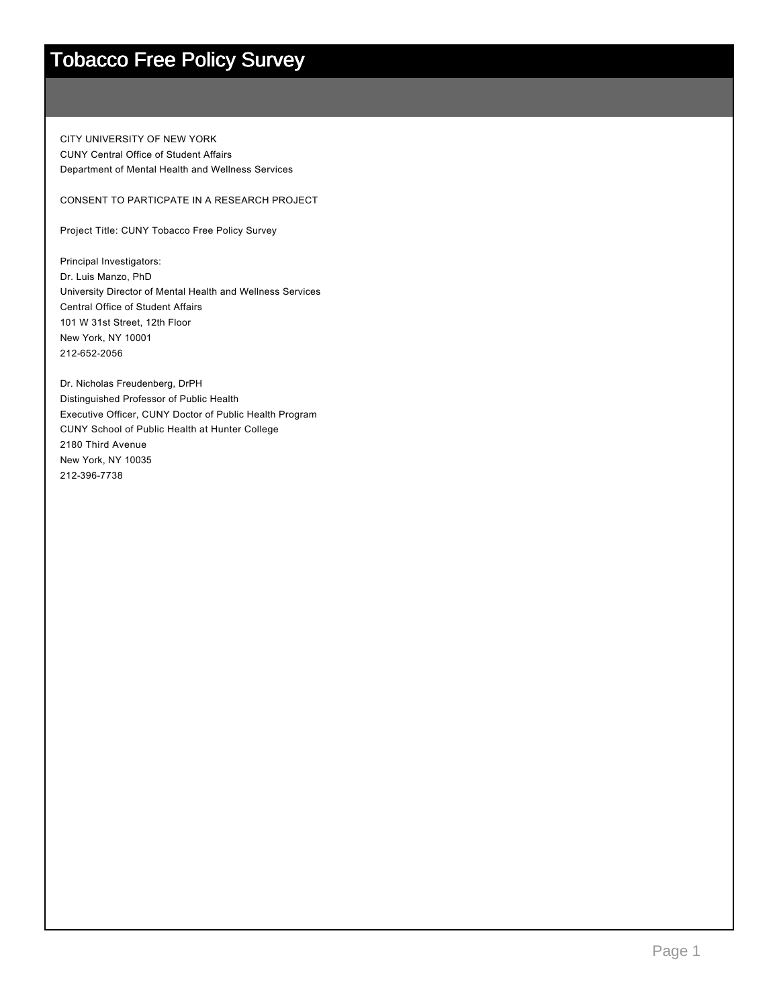CITY UNIVERSITY OF NEW YORK CUNY Central Office of Student Affairs Department of Mental Health and Wellness Services

CONSENT TO PARTICPATE IN A RESEARCH PROJECT

Project Title: CUNY Tobacco Free Policy Survey

Principal Investigators: Dr. Luis Manzo, PhD University Director of Mental Health and Wellness Services Central Office of Student Affairs 101 W 31st Street, 12th Floor New York, NY 10001 212-652-2056

Dr. Nicholas Freudenberg, DrPH Distinguished Professor of Public Health Executive Officer, CUNY Doctor of Public Health Program CUNY School of Public Health at Hunter College 2180 Third Avenue New York, NY 10035 2123967738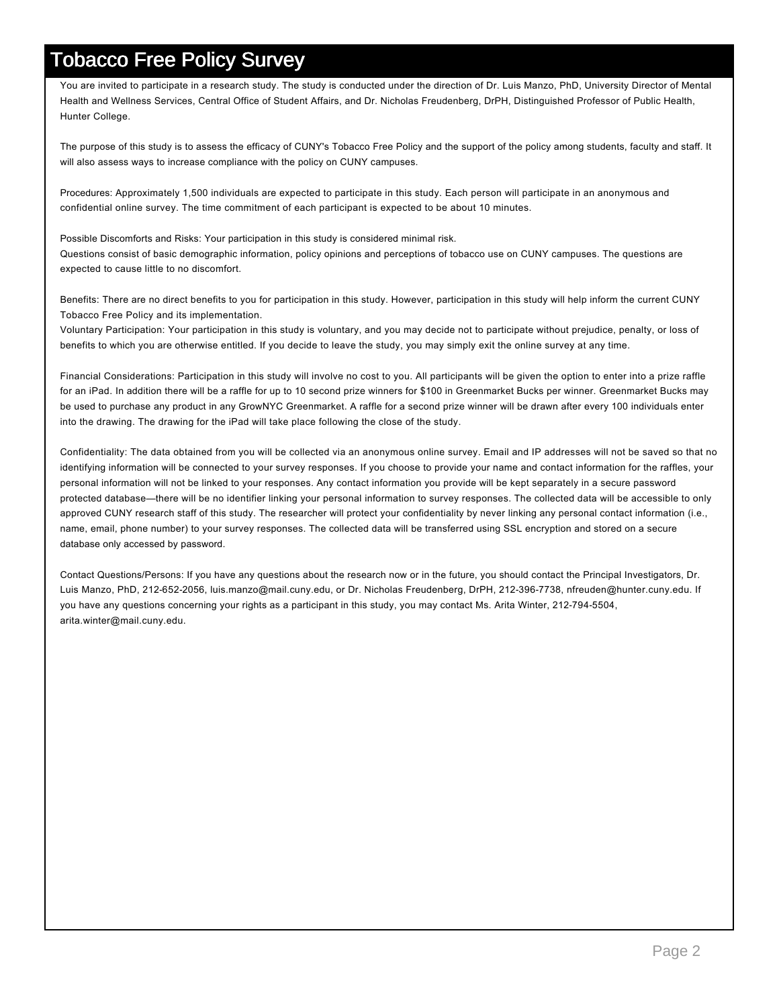You are invited to participate in a research study. The study is conducted under the direction of Dr. Luis Manzo, PhD, University Director of Mental Health and Wellness Services, Central Office of Student Affairs, and Dr. Nicholas Freudenberg, DrPH, Distinguished Professor of Public Health, Hunter College.

The purpose of this study is to assess the efficacy of CUNY's Tobacco Free Policy and the support of the policy among students, faculty and staff. It will also assess ways to increase compliance with the policy on CUNY campuses.

Procedures: Approximately 1,500 individuals are expected to participate in this study. Each person will participate in an anonymous and confidential online survey. The time commitment of each participant is expected to be about 10 minutes.

Possible Discomforts and Risks: Your participation in this study is considered minimal risk. Questions consist of basic demographic information, policy opinions and perceptions of tobacco use on CUNY campuses. The questions are expected to cause little to no discomfort.

Benefits: There are no direct benefits to you for participation in this study. However, participation in this study will help inform the current CUNY Tobacco Free Policy and its implementation.

Voluntary Participation: Your participation in this study is voluntary, and you may decide not to participate without prejudice, penalty, or loss of benefits to which you are otherwise entitled. If you decide to leave the study, you may simply exit the online survey at any time.

Financial Considerations: Participation in this study will involve no cost to you. All participants will be given the option to enter into a prize raffle for an iPad. In addition there will be a raffle for up to 10 second prize winners for \$100 in Greenmarket Bucks per winner. Greenmarket Bucks may be used to purchase any product in any GrowNYC Greenmarket. A raffle for a second prize winner will be drawn after every 100 individuals enter into the drawing. The drawing for the iPad will take place following the close of the study.

Confidentiality: The data obtained from you will be collected via an anonymous online survey. Email and IP addresses will not be saved so that no identifying information will be connected to your survey responses. If you choose to provide your name and contact information for the raffles, your personal information will not be linked to your responses. Any contact information you provide will be kept separately in a secure password protected database—there will be no identifier linking your personal information to survey responses. The collected data will be accessible to only approved CUNY research staff of this study. The researcher will protect your confidentiality by never linking any personal contact information (i.e., name, email, phone number) to your survey responses. The collected data will be transferred using SSL encryption and stored on a secure database only accessed by password.

Contact Questions/Persons: If you have any questions about the research now or in the future, you should contact the Principal Investigators, Dr. Luis Manzo, PhD, 212-652-2056, luis.manzo@mail.cuny.edu, or Dr. Nicholas Freudenberg, DrPH, 212-396-7738, nfreuden@hunter.cuny.edu. If you have any questions concerning your rights as a participant in this study, you may contact Ms. Arita Winter, 2127945504, arita.winter@mail.cuny.edu.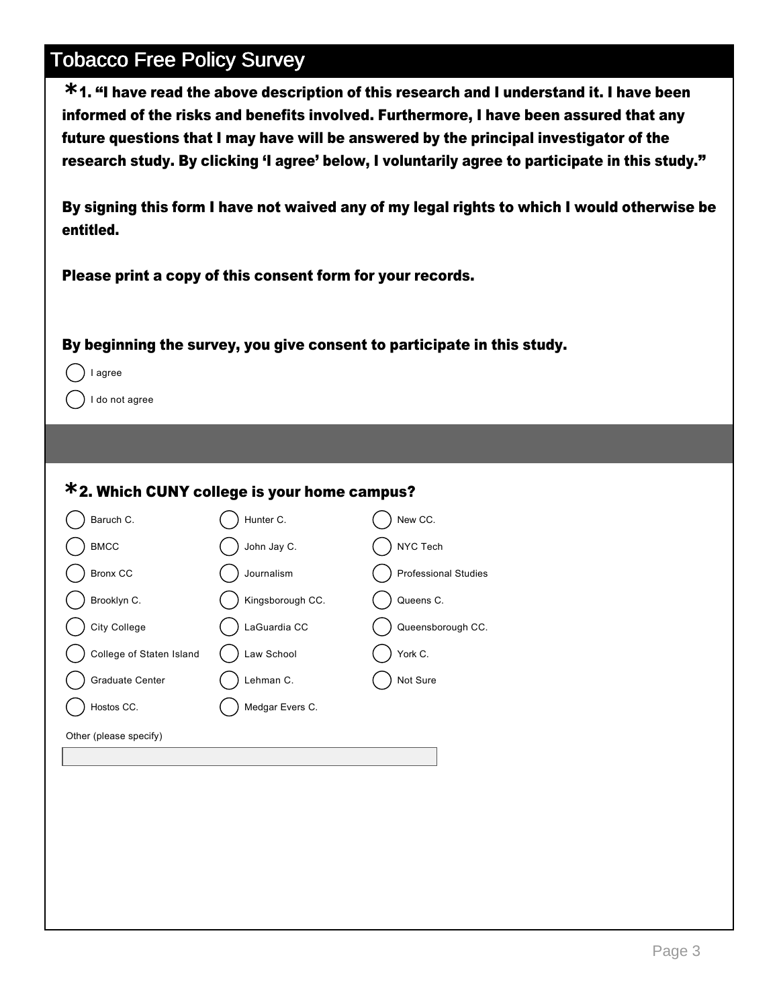1. "I have read the above description of this research and I understand it. I have been **\*** informed of the risks and benefits involved. Furthermore, I have been assured that any future questions that I may have will be answered by the principal investigator of the research study. By clicking 'I agree' below, I voluntarily agree to participate in this study."

By signing this form I have not waived any of my legal rights to which I would otherwise be entitled.

Please print a copy of this consent form for your records.

#### By beginning the survey, you give consent to participate in this study.



I do not agree

#### **\***2. Which CUNY college is your home campus?

| Baruch C.                | Hunter C.        | New CC.                     |
|--------------------------|------------------|-----------------------------|
| <b>BMCC</b>              | John Jay C.      | NYC Tech                    |
| <b>Bronx CC</b>          | Journalism       | <b>Professional Studies</b> |
| Brooklyn C.              | Kingsborough CC. | Queens C.                   |
| City College             | LaGuardia CC     | Queensborough CC.           |
| College of Staten Island | Law School       | York C.                     |
| Graduate Center          | Lehman C.        | Not Sure                    |
| Hostos CC.               | Medgar Evers C.  |                             |
| Other (please specify)   |                  |                             |
|                          |                  |                             |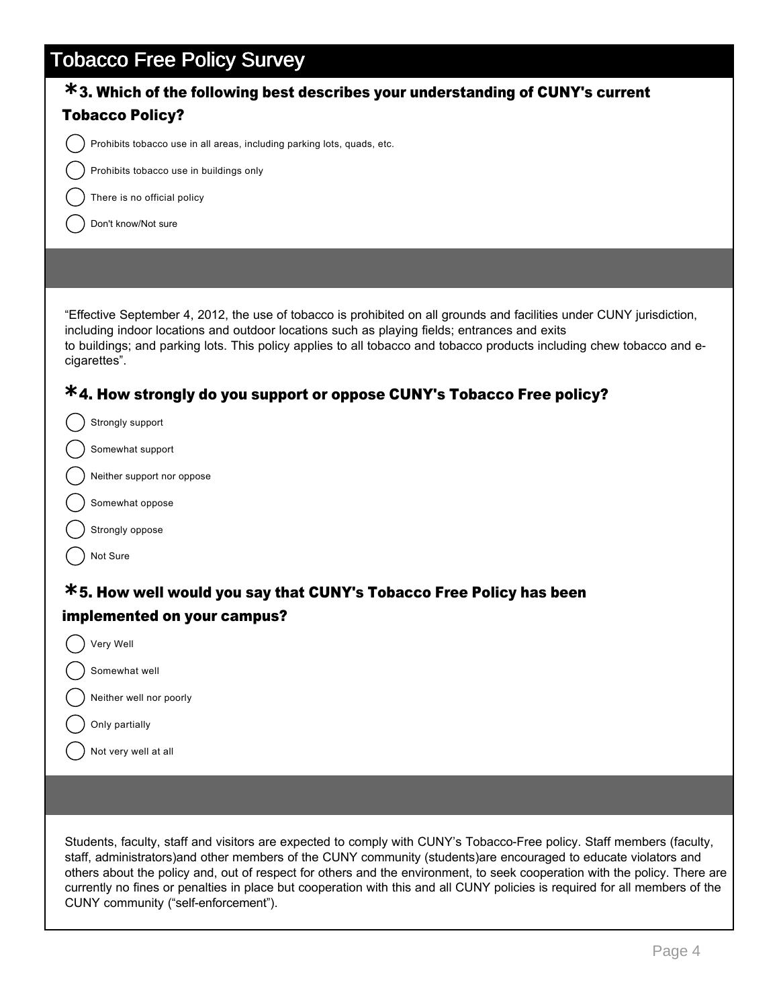| v<br>*3. Which of the following best describes your understanding of CUNY's current                                                                                                                                                                                                                                                                            |
|----------------------------------------------------------------------------------------------------------------------------------------------------------------------------------------------------------------------------------------------------------------------------------------------------------------------------------------------------------------|
| <b>Tobacco Policy?</b>                                                                                                                                                                                                                                                                                                                                         |
| Prohibits tobacco use in all areas, including parking lots, quads, etc.                                                                                                                                                                                                                                                                                        |
| Prohibits tobacco use in buildings only                                                                                                                                                                                                                                                                                                                        |
| There is no official policy                                                                                                                                                                                                                                                                                                                                    |
| Don't know/Not sure                                                                                                                                                                                                                                                                                                                                            |
|                                                                                                                                                                                                                                                                                                                                                                |
|                                                                                                                                                                                                                                                                                                                                                                |
| "Effective September 4, 2012, the use of tobacco is prohibited on all grounds and facilities under CUNY jurisdiction,<br>including indoor locations and outdoor locations such as playing fields; entrances and exits<br>to buildings; and parking lots. This policy applies to all tobacco and tobacco products including chew tobacco and e-<br>cigarettes". |
| *4. How strongly do you support or oppose CUNY's Tobacco Free policy?                                                                                                                                                                                                                                                                                          |
| Strongly support                                                                                                                                                                                                                                                                                                                                               |
| Somewhat support                                                                                                                                                                                                                                                                                                                                               |
| Neither support nor oppose                                                                                                                                                                                                                                                                                                                                     |
| Somewhat oppose                                                                                                                                                                                                                                                                                                                                                |
| Strongly oppose                                                                                                                                                                                                                                                                                                                                                |
| Not Sure                                                                                                                                                                                                                                                                                                                                                       |
| <b>*5. How well would you say that CUNY's Tobacco Free Policy has been</b>                                                                                                                                                                                                                                                                                     |
| implemented on your campus?                                                                                                                                                                                                                                                                                                                                    |
| Very Well                                                                                                                                                                                                                                                                                                                                                      |
| Somewhat well                                                                                                                                                                                                                                                                                                                                                  |
| Neither well nor poorly                                                                                                                                                                                                                                                                                                                                        |
| Only partially                                                                                                                                                                                                                                                                                                                                                 |
| Not very well at all                                                                                                                                                                                                                                                                                                                                           |
|                                                                                                                                                                                                                                                                                                                                                                |
|                                                                                                                                                                                                                                                                                                                                                                |

Students, faculty, staff and visitors are expected to comply with CUNY's Tobacco-Free policy. Staff members (faculty, staff, administrators)and other members of the CUNY community (students)are encouraged to educate violators and others about the policy and, out of respect for others and the environment, to seek cooperation with the policy. There are currently no fines or penalties in place but cooperation with this and all CUNY policies is required for all members of the CUNY community ("self-enforcement").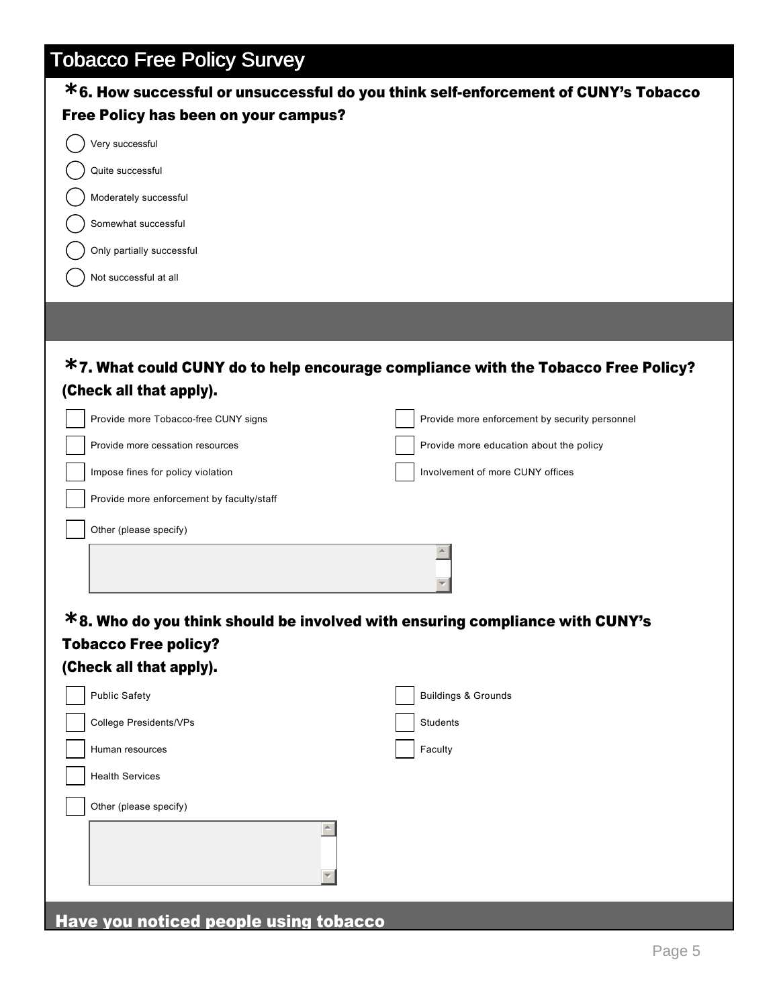| *6. How successful or unsuccessful do you think self-enforcement of CUNY's Tobacco |                                                |
|------------------------------------------------------------------------------------|------------------------------------------------|
| Free Policy has been on your campus?                                               |                                                |
| Very successful                                                                    |                                                |
| Quite successful                                                                   |                                                |
| Moderately successful                                                              |                                                |
| Somewhat successful                                                                |                                                |
| Only partially successful                                                          |                                                |
| Not successful at all                                                              |                                                |
|                                                                                    |                                                |
|                                                                                    |                                                |
| *7. What could CUNY do to help encourage compliance with the Tobacco Free Policy?  |                                                |
| (Check all that apply).                                                            |                                                |
| Provide more Tobacco-free CUNY signs                                               | Provide more enforcement by security personnel |
| Provide more cessation resources                                                   | Provide more education about the policy        |
| Impose fines for policy violation                                                  | Involvement of more CUNY offices               |
| Provide more enforcement by faculty/staff                                          |                                                |
|                                                                                    |                                                |
| Other (please specify)                                                             |                                                |
|                                                                                    |                                                |
|                                                                                    |                                                |
| *8. Who do you think should be involved with ensuring compliance with CUNY's       |                                                |
| <b>Tobacco Free policy?</b>                                                        |                                                |
| (Check all that apply).                                                            |                                                |
| <b>Public Safety</b>                                                               | <b>Buildings &amp; Grounds</b>                 |
| College Presidents/VPs                                                             | Students                                       |
| Human resources                                                                    | Faculty                                        |
| <b>Health Services</b>                                                             |                                                |
| Other (please specify)                                                             |                                                |
|                                                                                    |                                                |
|                                                                                    |                                                |
|                                                                                    |                                                |
| Have you noticed people using tobacco                                              |                                                |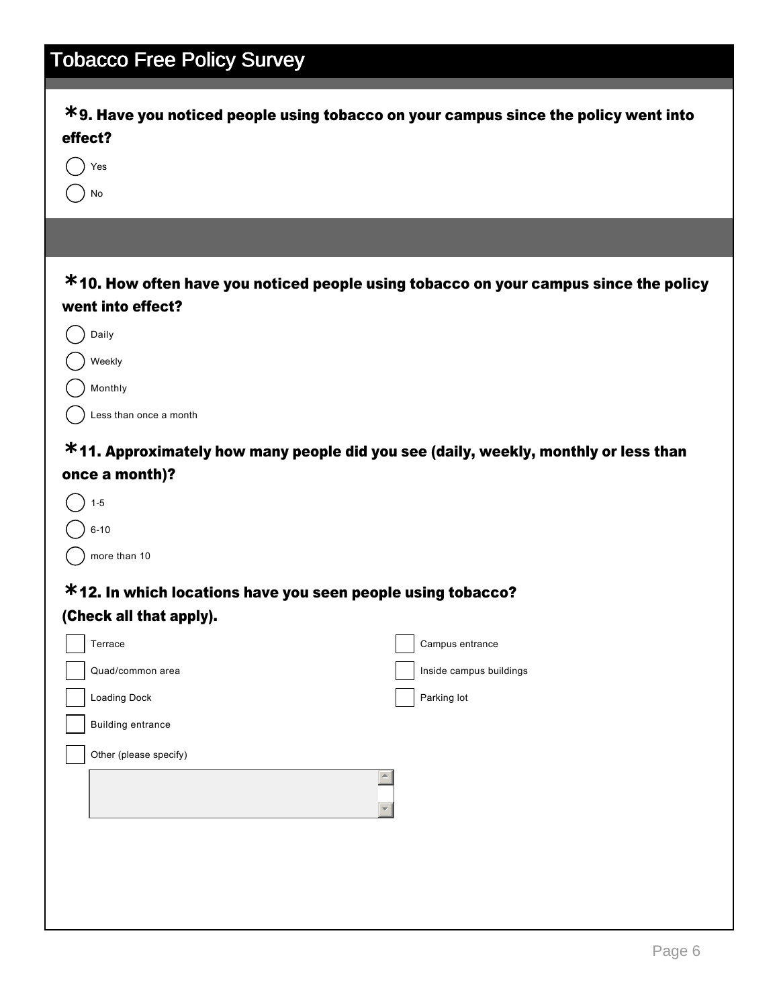| <b>Tobacco Free Policy Survey</b>                                                                                                                                                                 |                                                                                                                                                                             |
|---------------------------------------------------------------------------------------------------------------------------------------------------------------------------------------------------|-----------------------------------------------------------------------------------------------------------------------------------------------------------------------------|
| effect?<br>Yes<br>No                                                                                                                                                                              | $*$ 9. Have you noticed people using tobacco on your campus since the policy went into                                                                                      |
|                                                                                                                                                                                                   |                                                                                                                                                                             |
| went into effect?<br>Daily<br>Weekly<br>Monthly<br>Less than once a month<br>once a month)?<br>$1 - 5$<br>$6 - 10$<br>more than 10<br>*12. In which locations have you seen people using tobacco? | *10. How often have you noticed people using tobacco on your campus since the policy<br>*11. Approximately how many people did you see (daily, weekly, monthly or less than |
| (Check all that apply).                                                                                                                                                                           |                                                                                                                                                                             |
| Terrace                                                                                                                                                                                           | Campus entrance                                                                                                                                                             |
| Quad/common area<br>Loading Dock                                                                                                                                                                  | Inside campus buildings<br>Parking lot                                                                                                                                      |
| <b>Building entrance</b>                                                                                                                                                                          |                                                                                                                                                                             |
| Other (please specify)                                                                                                                                                                            |                                                                                                                                                                             |
|                                                                                                                                                                                                   |                                                                                                                                                                             |
|                                                                                                                                                                                                   |                                                                                                                                                                             |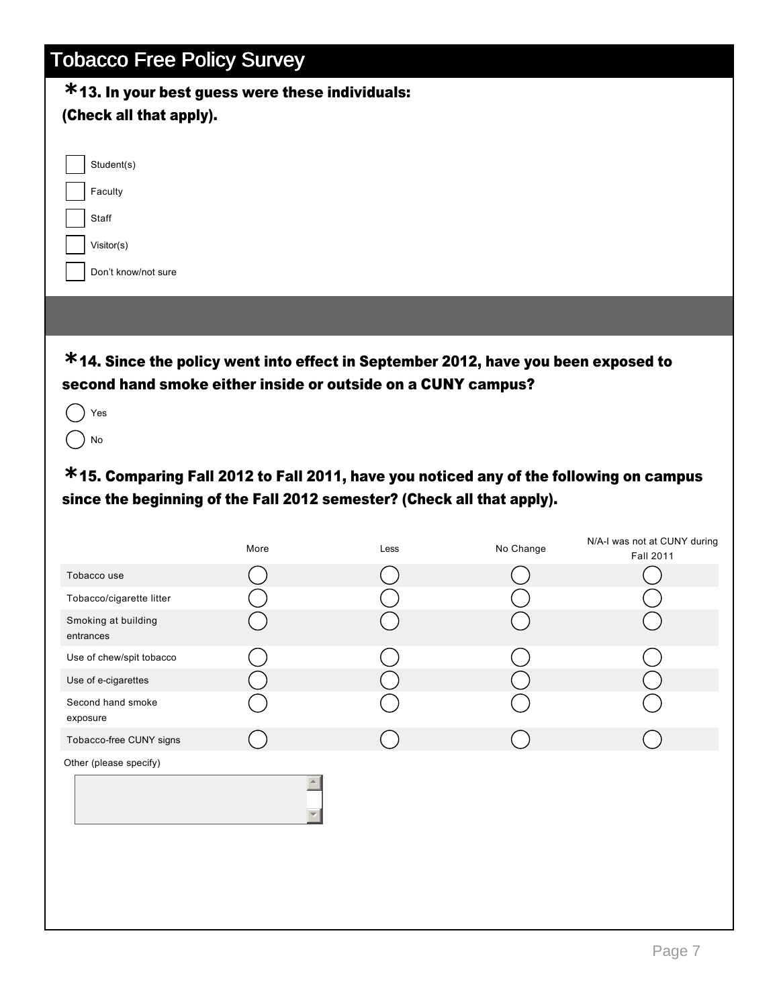#### 13. In your best guess were these individuals: **\***

| 13. III your best guess were these individuals:<br>(Check all that apply).                                                                                       |      |      |           |                                           |
|------------------------------------------------------------------------------------------------------------------------------------------------------------------|------|------|-----------|-------------------------------------------|
| Student(s)<br>Faculty<br>Staff<br>Visitor(s)<br>Don't know/not sure                                                                                              |      |      |           |                                           |
| *14. Since the policy went into effect in September 2012, have you been exposed to<br>second hand smoke either inside or outside on a CUNY campus?<br>Yes<br>No  |      |      |           |                                           |
| *15. Comparing Fall 2012 to Fall 2011, have you noticed any of the following on campus<br>since the beginning of the Fall 2012 semester? (Check all that apply). |      |      |           |                                           |
|                                                                                                                                                                  | More | Less | No Change | N/A-I was not at CUNY during<br>Fall 2011 |
| Tobacco use                                                                                                                                                      |      |      |           |                                           |
| Tobacco/cigarette litter                                                                                                                                         |      |      |           |                                           |
| Smoking at building<br>entrances                                                                                                                                 |      |      |           |                                           |
| Use of chew/spit tobacco                                                                                                                                         |      |      |           |                                           |
| Use of e-cigarettes                                                                                                                                              |      |      |           |                                           |
| Second hand smoke<br>exposure                                                                                                                                    |      |      |           |                                           |
| Tobacco-free CUNY signs                                                                                                                                          |      |      |           |                                           |
| Other (please specify)                                                                                                                                           |      |      |           |                                           |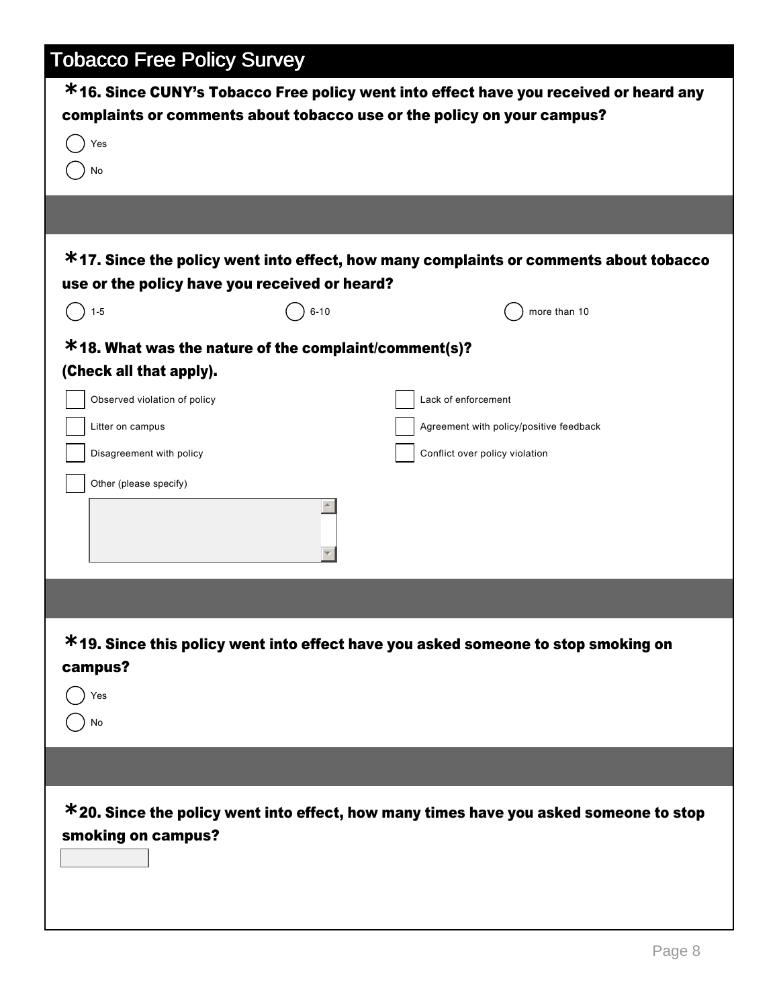| <b>Tobacco Free Policy Survey</b>                                                                                                                                                          |          |                                                                                                                                                                 |
|--------------------------------------------------------------------------------------------------------------------------------------------------------------------------------------------|----------|-----------------------------------------------------------------------------------------------------------------------------------------------------------------|
|                                                                                                                                                                                            |          | *16. Since CUNY's Tobacco Free policy went into effect have you received or heard any<br>complaints or comments about tobacco use or the policy on your campus? |
| Yes<br>No                                                                                                                                                                                  |          |                                                                                                                                                                 |
|                                                                                                                                                                                            |          |                                                                                                                                                                 |
| use or the policy have you received or heard?                                                                                                                                              |          | *17. Since the policy went into effect, how many complaints or comments about tobacco                                                                           |
| $1 - 5$                                                                                                                                                                                    | $6 - 10$ | more than 10                                                                                                                                                    |
| *18. What was the nature of the complaint/comment(s)?<br>(Check all that apply).<br>Observed violation of policy<br>Litter on campus<br>Disagreement with policy<br>Other (please specify) |          | Lack of enforcement<br>Agreement with policy/positive feedback<br>Conflict over policy violation                                                                |
| campus?<br>Yes<br>No                                                                                                                                                                       |          | *19. Since this policy went into effect have you asked someone to stop smoking on                                                                               |
|                                                                                                                                                                                            |          |                                                                                                                                                                 |
| smoking on campus?                                                                                                                                                                         |          | *20. Since the policy went into effect, how many times have you asked someone to stop                                                                           |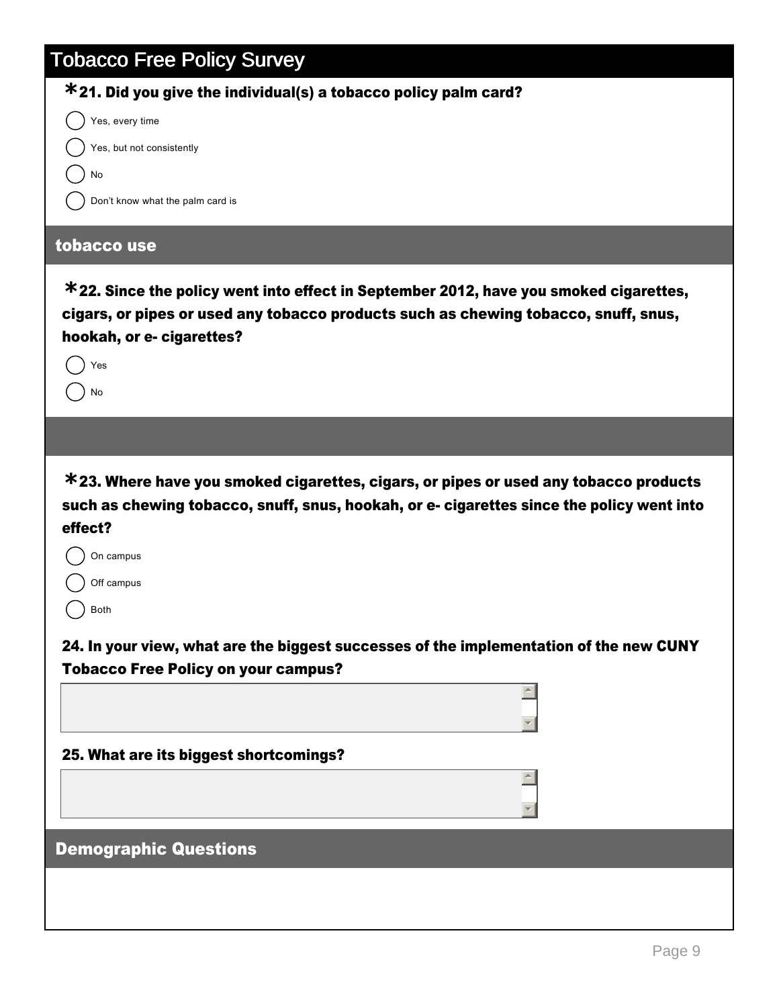| <b>Tobacco Free Policy Survey</b>                                                                                                                                                                                                                                                                                         |
|---------------------------------------------------------------------------------------------------------------------------------------------------------------------------------------------------------------------------------------------------------------------------------------------------------------------------|
| $*$ 21. Did you give the individual(s) a tobacco policy palm card?                                                                                                                                                                                                                                                        |
| Yes, every time                                                                                                                                                                                                                                                                                                           |
| Yes, but not consistently                                                                                                                                                                                                                                                                                                 |
| No                                                                                                                                                                                                                                                                                                                        |
| Don't know what the palm card is                                                                                                                                                                                                                                                                                          |
| tobacco use                                                                                                                                                                                                                                                                                                               |
| $*$ 22. Since the policy went into effect in September 2012, have you smoked cigarettes,<br>cigars, or pipes or used any tobacco products such as chewing tobacco, snuff, snus,<br>hookah, or e- cigarettes?                                                                                                              |
| Yes                                                                                                                                                                                                                                                                                                                       |
| No                                                                                                                                                                                                                                                                                                                        |
|                                                                                                                                                                                                                                                                                                                           |
| *23. Where have you smoked cigarettes, cigars, or pipes or used any tobacco products<br>such as chewing tobacco, snuff, snus, hookah, or e- cigarettes since the policy went into<br>effect?<br>On campus<br>Off campus<br>Both<br>24. In your view, what are the biggest successes of the implementation of the new CUNY |
| <b>Tobacco Free Policy on your campus?</b>                                                                                                                                                                                                                                                                                |
|                                                                                                                                                                                                                                                                                                                           |
| 25. What are its biggest shortcomings?                                                                                                                                                                                                                                                                                    |
|                                                                                                                                                                                                                                                                                                                           |
| <b>Demographic Questions</b>                                                                                                                                                                                                                                                                                              |
|                                                                                                                                                                                                                                                                                                                           |

 $\overline{\phantom{a}}$